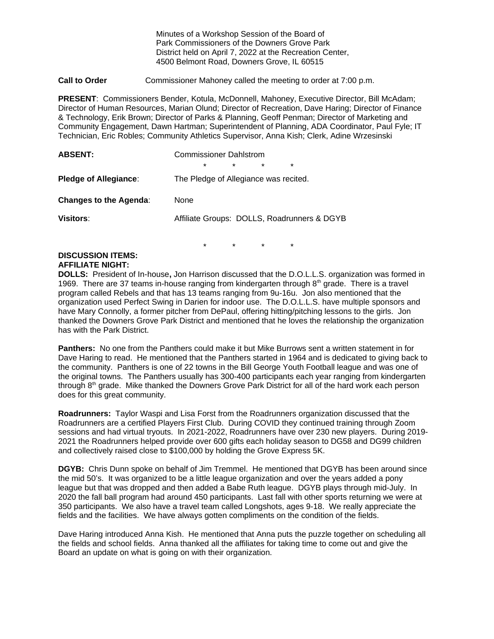Minutes of a Workshop Session of the Board of Park Commissioners of the Downers Grove Park District held on April 7, 2022 at the Recreation Center, 4500 Belmont Road, Downers Grove, IL 60515

**Call to Order** Commissioner Mahoney called the meeting to order at 7:00 p.m.

**PRESENT**: Commissioners Bender, Kotula, McDonnell, Mahoney, Executive Director, Bill McAdam; Director of Human Resources, Marian Olund; Director of Recreation, Dave Haring; Director of Finance & Technology, Erik Brown; Director of Parks & Planning, Geoff Penman; Director of Marketing and Community Engagement, Dawn Hartman; Superintendent of Planning, ADA Coordinator, Paul Fyle; IT Technician, Eric Robles; Community Athletics Supervisor, Anna Kish; Clerk, Adine Wrzesinski

| <b>ABSENT:</b>                | <b>Commissioner Dahlstrom</b>         |         |         |                                             |  |
|-------------------------------|---------------------------------------|---------|---------|---------------------------------------------|--|
|                               | $\star$                               | $\star$ | $\star$ | $\star$                                     |  |
| <b>Pledge of Allegiance:</b>  | The Pledge of Allegiance was recited. |         |         |                                             |  |
| <b>Changes to the Agenda:</b> | None                                  |         |         |                                             |  |
| Visitors:                     |                                       |         |         | Affiliate Groups: DOLLS, Roadrunners & DGYB |  |

\* \* \* \*

## **DISCUSSION ITEMS: AFFILIATE NIGHT:**

**DOLLS:** President of In-house**,** Jon Harrison discussed that the D.O.L.L.S. organization was formed in 1969. There are 37 teams in-house ranging from kindergarten through  $8<sup>th</sup>$  grade. There is a travel program called Rebels and that has 13 teams ranging from 9u-16u. Jon also mentioned that the organization used Perfect Swing in Darien for indoor use. The D.O.L.L.S. have multiple sponsors and have Mary Connolly, a former pitcher from DePaul, offering hitting/pitching lessons to the girls. Jon thanked the Downers Grove Park District and mentioned that he loves the relationship the organization has with the Park District.

**Panthers:** No one from the Panthers could make it but Mike Burrows sent a written statement in for Dave Haring to read. He mentioned that the Panthers started in 1964 and is dedicated to giving back to the community. Panthers is one of 22 towns in the Bill George Youth Football league and was one of the original towns. The Panthers usually has 300-400 participants each year ranging from kindergarten through 8<sup>th</sup> grade. Mike thanked the Downers Grove Park District for all of the hard work each person does for this great community.

**Roadrunners:** Taylor Waspi and Lisa Forst from the Roadrunners organization discussed that the Roadrunners are a certified Players First Club. During COVID they continued training through Zoom sessions and had virtual tryouts. In 2021-2022, Roadrunners have over 230 new players. During 2019- 2021 the Roadrunners helped provide over 600 gifts each holiday season to DG58 and DG99 children and collectively raised close to \$100,000 by holding the Grove Express 5K.

**DGYB:** Chris Dunn spoke on behalf of Jim Tremmel. He mentioned that DGYB has been around since the mid 50's. It was organized to be a little league organization and over the years added a pony league but that was dropped and then added a Babe Ruth league. DGYB plays through mid-July. In 2020 the fall ball program had around 450 participants. Last fall with other sports returning we were at 350 participants. We also have a travel team called Longshots, ages 9-18. We really appreciate the fields and the facilities. We have always gotten compliments on the condition of the fields.

Dave Haring introduced Anna Kish. He mentioned that Anna puts the puzzle together on scheduling all the fields and school fields. Anna thanked all the affiliates for taking time to come out and give the Board an update on what is going on with their organization.